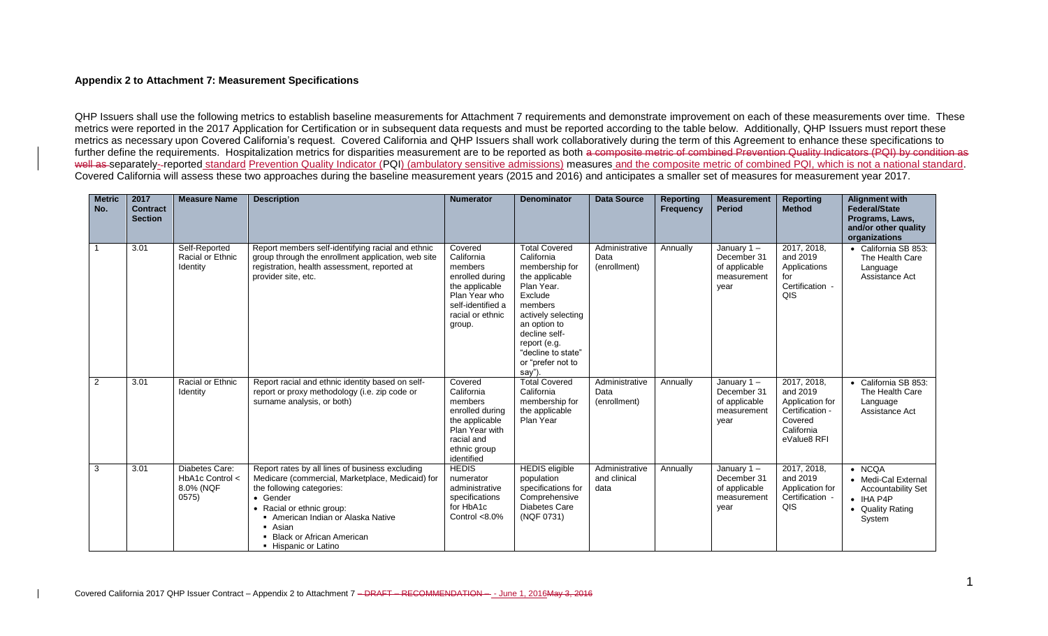## **Appendix 2 to Attachment 7: Measurement Specifications**

QHP Issuers shall use the following metrics to establish baseline measurements for Attachment 7 requirements and demonstrate improvement on each of these measurements over time. These metrics were reported in the 2017 Application for Certification or in subsequent data requests and must be reported according to the table below. Additionally, QHP Issuers must report these metrics as necessary upon Covered California's request. Covered California and QHP Issuers shall work collaboratively during the term of this Agreement to enhance these specifications to further define the requirements. Hospitalization metrics for disparities measurement are to be reported as both a composite metric of combined Prevention Quality Indicators (PQI) by condition as well as separately--reported standard Prevention Quality Indicator (PQI) (ambulatory sensitive admissions) measures and the composite metric of combined PQI, which is not a national standard. Covered California will assess these two approaches during the baseline measurement years (2015 and 2016) and anticipates a smaller set of measures for measurement year 2017.

| <b>Metric</b><br>No. | 2017<br>Contract<br><b>Section</b> | <b>Measure Name</b>                                     | <b>Description</b>                                                                                                                                                                                                                                                              | <b>Numerator</b>                                                                                                                          | <b>Denominator</b>                                                                                                                                                                                                                    | <b>Data Source</b>                     | <b>Reporting</b><br><b>Frequency</b> | <b>Measurement</b><br><b>Period</b>                                  | <b>Reporting</b><br><b>Method</b>                                                                     | <b>Alignment with</b><br><b>Federal/State</b><br>Programs, Laws,<br>and/or other quality<br>organizations             |
|----------------------|------------------------------------|---------------------------------------------------------|---------------------------------------------------------------------------------------------------------------------------------------------------------------------------------------------------------------------------------------------------------------------------------|-------------------------------------------------------------------------------------------------------------------------------------------|---------------------------------------------------------------------------------------------------------------------------------------------------------------------------------------------------------------------------------------|----------------------------------------|--------------------------------------|----------------------------------------------------------------------|-------------------------------------------------------------------------------------------------------|-----------------------------------------------------------------------------------------------------------------------|
|                      | 3.01                               | Self-Reported<br>Racial or Ethnic<br>Identity           | Report members self-identifying racial and ethnic<br>group through the enrollment application, web site<br>registration, health assessment, reported at<br>provider site, etc.                                                                                                  | Covered<br>California<br>members<br>enrolled during<br>the applicable<br>Plan Year who<br>self-identified a<br>racial or ethnic<br>group. | <b>Total Covered</b><br>California<br>membership for<br>the applicable<br>Plan Year.<br>Exclude<br>members<br>actively selecting<br>an option to<br>decline self-<br>report (e.g.<br>"decline to state"<br>or "prefer not to<br>say") | Administrative<br>Data<br>(enrollment) | Annually                             | January $1 -$<br>December 31<br>of applicable<br>measurement<br>year | 2017, 2018.<br>and 2019<br>Applications<br>for<br>Certification -<br>QIS                              | • California SB 853:<br>The Health Care<br>Language<br>Assistance Act                                                 |
| 2                    | 3.01                               | Racial or Ethnic<br>Identity                            | Report racial and ethnic identity based on self-<br>report or proxy methodology (i.e. zip code or<br>surname analysis, or both)                                                                                                                                                 | Covered<br>California<br>members<br>enrolled during<br>the applicable<br>Plan Year with<br>racial and<br>ethnic group<br>identified       | <b>Total Covered</b><br>California<br>membership for<br>the applicable<br>Plan Year                                                                                                                                                   | Administrative<br>Data<br>(enrollment) | Annually                             | January $1 -$<br>December 31<br>of applicable<br>measurement<br>year | 2017, 2018,<br>and 2019<br>Application for<br>Certification -<br>Covered<br>California<br>eValue8 RFI | • California SB 853:<br>The Health Care<br>Language<br>Assistance Act                                                 |
| 3                    | 3.01                               | Diabetes Care:<br>HbA1c Control <<br>8.0% (NQF<br>0575) | Report rates by all lines of business excluding<br>Medicare (commercial, Marketplace, Medicaid) for<br>the following categories:<br>• Gender<br>• Racial or ethnic group:<br>American Indian or Alaska Native<br>• Asian<br>• Black or African American<br>• Hispanic or Latino | <b>HEDIS</b><br>numerator<br>administrative<br>specifications<br>for HbA1c<br>Control $< 8.0\%$                                           | <b>HEDIS</b> eligible<br>population<br>specifications for<br>Comprehensive<br><b>Diabetes Care</b><br>(NQF 0731)                                                                                                                      | Administrative<br>and clinical<br>data | Annually                             | January $1 -$<br>December 31<br>of applicable<br>measurement<br>year | 2017, 2018,<br>and 2019<br>Application for<br>Certification -<br>QIS                                  | $\bullet$ NCQA<br>• Medi-Cal External<br><b>Accountability Set</b><br>$\bullet$ IHA P4P<br>• Quality Rating<br>System |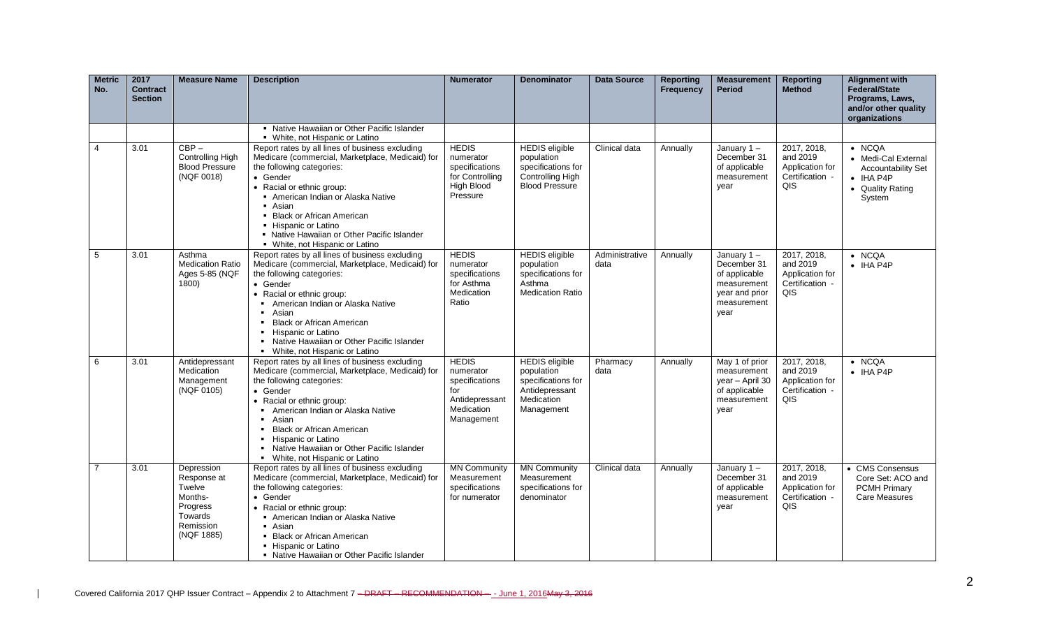| <b>Metric</b><br>No. | 2017<br><b>Contract</b><br><b>Section</b> | <b>Measure Name</b>                                                                              | <b>Description</b>                                                                                                                                                                                                                                                                                                                                                  | <b>Numerator</b>                                                                                 | <b>Denominator</b>                                                                                      | <b>Data Source</b>     | Reporting<br>Frequency | <b>Measurement</b><br><b>Period</b>                                                                | <b>Reporting</b><br><b>Method</b>                                    | <b>Alignment with</b><br><b>Federal/State</b><br>Programs, Laws,<br>and/or other quality<br>organizations             |
|----------------------|-------------------------------------------|--------------------------------------------------------------------------------------------------|---------------------------------------------------------------------------------------------------------------------------------------------------------------------------------------------------------------------------------------------------------------------------------------------------------------------------------------------------------------------|--------------------------------------------------------------------------------------------------|---------------------------------------------------------------------------------------------------------|------------------------|------------------------|----------------------------------------------------------------------------------------------------|----------------------------------------------------------------------|-----------------------------------------------------------------------------------------------------------------------|
|                      |                                           |                                                                                                  | • Native Hawaiian or Other Pacific Islander<br>• White, not Hispanic or Latino                                                                                                                                                                                                                                                                                      |                                                                                                  |                                                                                                         |                        |                        |                                                                                                    |                                                                      |                                                                                                                       |
| 4                    | 3.01                                      | $CBP -$<br><b>Controlling High</b><br><b>Blood Pressure</b><br>(NQF 0018)                        | Report rates by all lines of business excluding<br>Medicare (commercial, Marketplace, Medicaid) for<br>the following categories:<br>• Gender<br>• Racial or ethnic group:<br>• American Indian or Alaska Native<br>• Asian<br>• Black or African American<br>• Hispanic or Latino<br>• Native Hawaiian or Other Pacific Islander<br>• White, not Hispanic or Latino | <b>HEDIS</b><br>numerator<br>specifications<br>for Controlling<br>High Blood<br>Pressure         | <b>HEDIS</b> eligible<br>population<br>specifications for<br>Controlling High<br><b>Blood Pressure</b>  | Clinical data          | Annually               | January 1-<br>December 31<br>of applicable<br>measurement<br>vear                                  | 2017, 2018,<br>and 2019<br>Application for<br>Certification -<br>QIS | $\bullet$ NCQA<br>• Medi-Cal External<br><b>Accountability Set</b><br>$\bullet$ IHA P4P<br>• Quality Rating<br>System |
| 5                    | 3.01                                      | Asthma<br><b>Medication Ratio</b><br>Ages 5-85 (NQF<br>1800)                                     | Report rates by all lines of business excluding<br>Medicare (commercial, Marketplace, Medicaid) for<br>the following categories:<br>• Gender<br>• Racial or ethnic group:<br>American Indian or Alaska Native<br>Asian<br><b>Black or African American</b><br>Hispanic or Latino<br>Native Hawaiian or Other Pacific Islander<br>White, not Hispanic or Latino      | <b>HEDIS</b><br>numerator<br>specifications<br>for Asthma<br>Medication<br>Ratio                 | <b>HEDIS</b> eligible<br>population<br>specifications for<br>Asthma<br><b>Medication Ratio</b>          | Administrative<br>data | Annually               | January 1-<br>December 31<br>of applicable<br>measurement<br>year and prior<br>measurement<br>year | 2017, 2018,<br>and 2019<br>Application for<br>Certification -<br>QIS | $\bullet$ NCQA<br>$\bullet$ IHA P4P                                                                                   |
| 6                    | 3.01                                      | Antidepressant<br>Medication<br>Management<br>(NQF 0105)                                         | Report rates by all lines of business excluding<br>Medicare (commercial, Marketplace, Medicaid) for<br>the following categories:<br>• Gender<br>• Racial or ethnic group:<br>American Indian or Alaska Native<br>Asian<br><b>Black or African American</b><br>Hispanic or Latino<br>Native Hawaiian or Other Pacific Islander<br>• White, not Hispanic or Latino    | <b>HEDIS</b><br>numerator<br>specifications<br>for<br>Antidepressant<br>Medication<br>Management | <b>HEDIS</b> eligible<br>population<br>specifications for<br>Antidepressant<br>Medication<br>Management | Pharmacy<br>data       | Annually               | May 1 of prior<br>measurement<br>year - April 30<br>of applicable<br>measurement<br>year           | 2017, 2018,<br>and 2019<br>Application for<br>Certification -<br>QIS | $\bullet$ NCQA<br>$\bullet$ IHA P4P                                                                                   |
| $\overline{7}$       | 3.01                                      | Depression<br>Response at<br>Twelve<br>Months-<br>Progress<br>Towards<br>Remission<br>(NQF 1885) | Report rates by all lines of business excluding<br>Medicare (commercial, Marketplace, Medicaid) for<br>the following categories:<br>• Gender<br>• Racial or ethnic group:<br>American Indian or Alaska Native<br>• Asian<br>• Black or African American<br>• Hispanic or Latino<br>• Native Hawaiian or Other Pacific Islander                                      | <b>MN Community</b><br>Measurement<br>specifications<br>for numerator                            | <b>MN Community</b><br>Measurement<br>specifications for<br>denominator                                 | Clinical data          | Annually               | January $1 -$<br>December 31<br>of applicable<br>measurement<br>year                               | 2017, 2018,<br>and 2019<br>Application for<br>Certification -<br>QIS | • CMS Consensus<br>Core Set: ACO and<br><b>PCMH Primary</b><br>Care Measures                                          |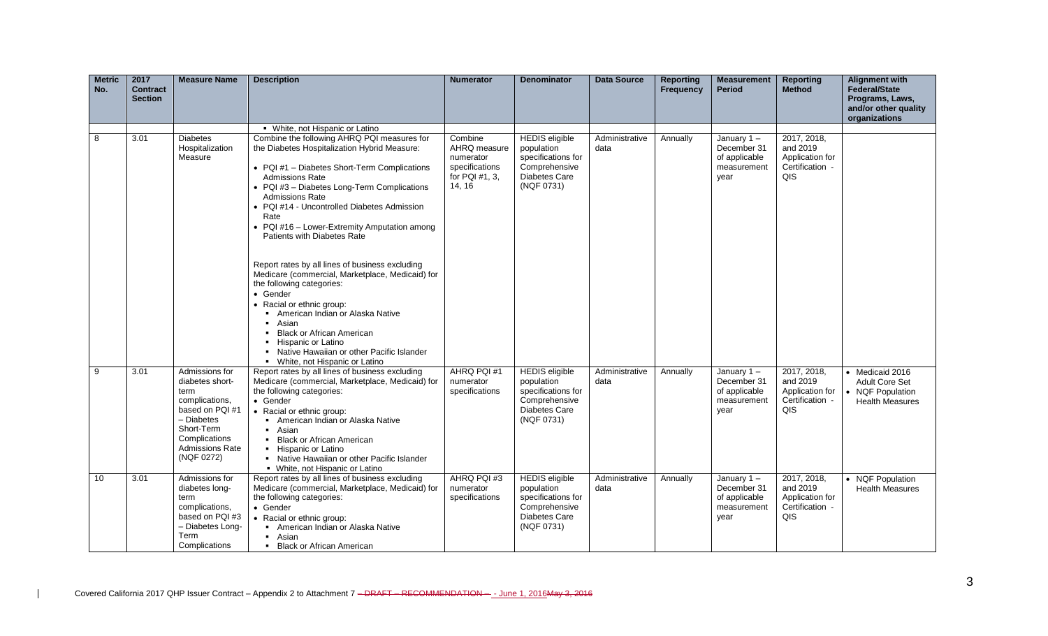| <b>Metric</b><br>No. | 2017<br><b>Contract</b><br><b>Section</b> | <b>Measure Name</b>                                                                                                                                                 | <b>Description</b>                                                                                                                                                                                                                                                                                                                                                                                                                                                                                                       | <b>Numerator</b>                                                                   | <b>Denominator</b>                                                                                               | <b>Data Source</b>     | <b>Reporting</b><br><b>Frequency</b> | <b>Measurement</b><br><b>Period</b>                                  | <b>Reporting</b><br><b>Method</b>                                    | <b>Alignment with</b><br>Federal/State<br>Programs, Laws,<br>and/or other quality      |
|----------------------|-------------------------------------------|---------------------------------------------------------------------------------------------------------------------------------------------------------------------|--------------------------------------------------------------------------------------------------------------------------------------------------------------------------------------------------------------------------------------------------------------------------------------------------------------------------------------------------------------------------------------------------------------------------------------------------------------------------------------------------------------------------|------------------------------------------------------------------------------------|------------------------------------------------------------------------------------------------------------------|------------------------|--------------------------------------|----------------------------------------------------------------------|----------------------------------------------------------------------|----------------------------------------------------------------------------------------|
|                      |                                           |                                                                                                                                                                     |                                                                                                                                                                                                                                                                                                                                                                                                                                                                                                                          |                                                                                    |                                                                                                                  |                        |                                      |                                                                      |                                                                      | organizations                                                                          |
|                      |                                           |                                                                                                                                                                     | • White, not Hispanic or Latino                                                                                                                                                                                                                                                                                                                                                                                                                                                                                          |                                                                                    |                                                                                                                  |                        |                                      |                                                                      |                                                                      |                                                                                        |
| 8                    | 3.01                                      | <b>Diabetes</b><br>Hospitalization<br>Measure                                                                                                                       | Combine the following AHRQ PQI measures for<br>the Diabetes Hospitalization Hybrid Measure:<br>• PQI #1 - Diabetes Short-Term Complications<br><b>Admissions Rate</b><br>• PQI #3 - Diabetes Long-Term Complications<br><b>Admissions Rate</b><br>• PQI #14 - Uncontrolled Diabetes Admission<br>Rate<br>• PQI #16 - Lower-Extremity Amputation among<br>Patients with Diabetes Rate<br>Report rates by all lines of business excluding<br>Medicare (commercial, Marketplace, Medicaid) for<br>the following categories: | Combine<br>AHRQ measure<br>numerator<br>specifications<br>for PQI #1, 3,<br>14, 16 | <b>HEDIS</b> eligible<br>population<br>specifications for<br>Comprehensive<br><b>Diabetes Care</b><br>(NQF 0731) | Administrative<br>data | Annually                             | January $1 -$<br>December 31<br>of applicable<br>measurement<br>year | 2017, 2018,<br>and 2019<br>Application for<br>Certification -<br>QIS |                                                                                        |
|                      |                                           |                                                                                                                                                                     | • Gender<br>• Racial or ethnic group:<br>• American Indian or Alaska Native<br>• Asian<br>• Black or African American<br>• Hispanic or Latino<br>• Native Hawaiian or other Pacific Islander<br>• White, not Hispanic or Latino                                                                                                                                                                                                                                                                                          |                                                                                    |                                                                                                                  |                        |                                      |                                                                      |                                                                      |                                                                                        |
| 9                    | 3.01                                      | Admissions for<br>diabetes short-<br>term<br>complications,<br>based on PQI #1<br>- Diabetes<br>Short-Term<br>Complications<br><b>Admissions Rate</b><br>(NQF 0272) | Report rates by all lines of business excluding<br>Medicare (commercial, Marketplace, Medicaid) for<br>the following categories:<br>• Gender<br>• Racial or ethnic group:<br>• American Indian or Alaska Native<br>• Asian<br><b>Black or African American</b><br>• Hispanic or Latino<br>• Native Hawaiian or other Pacific Islander<br>• White, not Hispanic or Latino                                                                                                                                                 | AHRQ PQI#1<br>numerator<br>specifications                                          | <b>HEDIS</b> eligible<br>population<br>specifications for<br>Comprehensive<br>Diabetes Care<br>(NQF 0731)        | Administrative<br>data | Annually                             | January $1 -$<br>December 31<br>of applicable<br>measurement<br>year | 2017, 2018,<br>and 2019<br>Application for<br>Certification -<br>QIS | • Medicaid 2016<br><b>Adult Core Set</b><br>• NQF Population<br><b>Health Measures</b> |
| 10                   | 3.01                                      | Admissions for<br>diabetes long-<br>term<br>complications,<br>based on PQI #3<br>- Diabetes Long-<br>Term<br>Complications                                          | Report rates by all lines of business excluding<br>Medicare (commercial, Marketplace, Medicaid) for<br>the following categories:<br>• Gender<br>• Racial or ethnic group:<br>American Indian or Alaska Native<br>- Asian<br>• Black or African American                                                                                                                                                                                                                                                                  | AHRQ PQI#3<br>numerator<br>specifications                                          | <b>HEDIS</b> eligible<br>population<br>specifications for<br>Comprehensive<br>Diabetes Care<br>(NQF 0731)        | Administrative<br>data | Annually                             | January $1 -$<br>December 31<br>of applicable<br>measurement<br>year | 2017, 2018,<br>and 2019<br>Application for<br>Certification -<br>QIS | • NQF Population<br><b>Health Measures</b>                                             |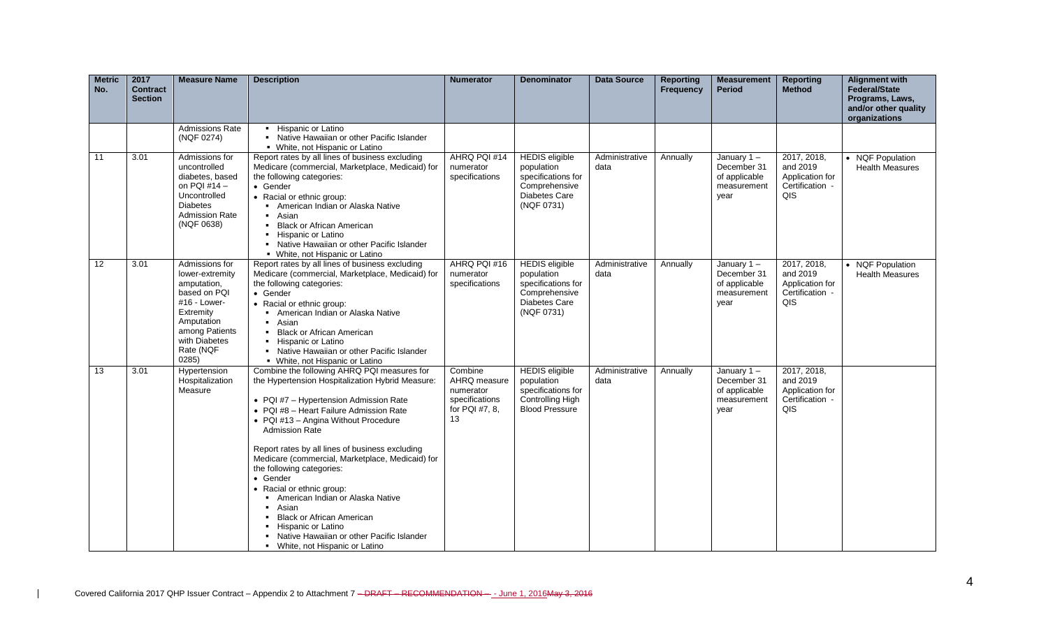| <b>Metric</b><br>No. | 2017<br><b>Contract</b><br><b>Section</b> | <b>Measure Name</b>                                                                                                                                                  | <b>Description</b>                                                                                                                                                                                                                                                                                                                                                                                                                                                                                                                                                                                                            | <b>Numerator</b>                                                               | <b>Denominator</b>                                                                                               | <b>Data Source</b>     | <b>Reporting</b><br>Frequency | <b>Measurement</b><br><b>Period</b>                                  | <b>Reporting</b><br><b>Method</b>                                    | <b>Alignment with</b><br><b>Federal/State</b><br>Programs, Laws,<br>and/or other quality<br>organizations |
|----------------------|-------------------------------------------|----------------------------------------------------------------------------------------------------------------------------------------------------------------------|-------------------------------------------------------------------------------------------------------------------------------------------------------------------------------------------------------------------------------------------------------------------------------------------------------------------------------------------------------------------------------------------------------------------------------------------------------------------------------------------------------------------------------------------------------------------------------------------------------------------------------|--------------------------------------------------------------------------------|------------------------------------------------------------------------------------------------------------------|------------------------|-------------------------------|----------------------------------------------------------------------|----------------------------------------------------------------------|-----------------------------------------------------------------------------------------------------------|
|                      |                                           | <b>Admissions Rate</b><br>(NQF 0274)                                                                                                                                 | • Hispanic or Latino<br>• Native Hawaiian or other Pacific Islander<br>• White, not Hispanic or Latino                                                                                                                                                                                                                                                                                                                                                                                                                                                                                                                        |                                                                                |                                                                                                                  |                        |                               |                                                                      |                                                                      |                                                                                                           |
| 11                   | 3.01                                      | Admissions for<br>uncontrolled<br>diabetes, based<br>on PQI #14 -<br>Uncontrolled<br><b>Diabetes</b><br><b>Admission Rate</b><br>(NQF 0638)                          | Report rates by all lines of business excluding<br>Medicare (commercial, Marketplace, Medicaid) for<br>the following categories:<br>• Gender<br>• Racial or ethnic group:<br>American Indian or Alaska Native<br>• Asian<br>• Black or African American<br>• Hispanic or Latino<br>• Native Hawaiian or other Pacific Islander<br>• White, not Hispanic or Latino                                                                                                                                                                                                                                                             | AHRQ PQI #14<br>numerator<br>specifications                                    | <b>HEDIS</b> eligible<br>population<br>specifications for<br>Comprehensive<br><b>Diabetes Care</b><br>(NQF 0731) | Administrative<br>data | Annually                      | January $1 -$<br>December 31<br>of applicable<br>measurement<br>year | 2017, 2018,<br>and 2019<br>Application for<br>Certification -<br>QIS | • NQF Population<br><b>Health Measures</b>                                                                |
| 12                   | 3.01                                      | Admissions for<br>lower-extremity<br>amputation,<br>based on PQI<br>#16 - Lower-<br>Extremity<br>Amputation<br>among Patients<br>with Diabetes<br>Rate (NQF<br>0285) | Report rates by all lines of business excluding<br>Medicare (commercial, Marketplace, Medicaid) for<br>the following categories:<br>• Gender<br>• Racial or ethnic group:<br>American Indian or Alaska Native<br>Asian<br>• Black or African American<br>• Hispanic or Latino<br>• Native Hawaiian or other Pacific Islander<br>• White, not Hispanic or Latino                                                                                                                                                                                                                                                               | AHRQ PQI #16<br>numerator<br>specifications                                    | <b>HEDIS</b> eligible<br>population<br>specifications for<br>Comprehensive<br>Diabetes Care<br>(NQF 0731)        | Administrative<br>data | Annually                      | January $1 -$<br>December 31<br>of applicable<br>measurement<br>year | 2017, 2018,<br>and 2019<br>Application for<br>Certification -<br>QIS | • NQF Population<br><b>Health Measures</b>                                                                |
| $\overline{13}$      | 3.01                                      | Hypertension<br>Hospitalization<br>Measure                                                                                                                           | Combine the following AHRQ PQI measures for<br>the Hypertension Hospitalization Hybrid Measure:<br>• PQI #7 - Hypertension Admission Rate<br>• PQI #8 - Heart Failure Admission Rate<br>• PQI #13 - Angina Without Procedure<br><b>Admission Rate</b><br>Report rates by all lines of business excluding<br>Medicare (commercial, Marketplace, Medicaid) for<br>the following categories:<br>• Gender<br>• Racial or ethnic group:<br>American Indian or Alaska Native<br>Asian<br><b>Black or African American</b><br>• Hispanic or Latino<br>• Native Hawaiian or other Pacific Islander<br>• White, not Hispanic or Latino | Combine<br>AHRQ measure<br>numerator<br>specifications<br>for PQI #7, 8,<br>13 | <b>HEDIS</b> eligible<br>population<br>specifications for<br>Controlling High<br><b>Blood Pressure</b>           | Administrative<br>data | Annually                      | January $1 -$<br>December 31<br>of applicable<br>measurement<br>year | 2017, 2018.<br>and 2019<br>Application for<br>Certification -<br>QIS |                                                                                                           |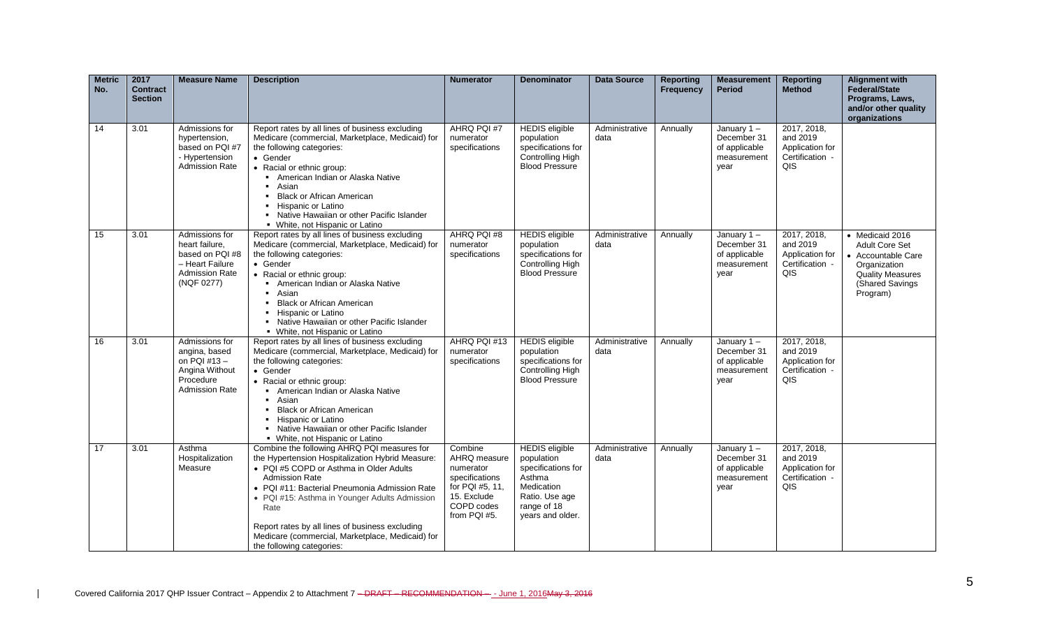| <b>Metric</b><br>No. | 2017<br><b>Contract</b><br><b>Section</b> | <b>Measure Name</b>                                                                                           | <b>Description</b>                                                                                                                                                                                                                                                                                                                                                                                                | <b>Numerator</b>                                                                                                       | <b>Denominator</b>                                                                                                                     | <b>Data Source</b>     | <b>Reporting</b><br><b>Frequency</b> | <b>Measurement</b><br><b>Period</b>                               | <b>Reporting</b><br><b>Method</b>                                    | <b>Alignment with</b><br><b>Federal/State</b><br>Programs, Laws,<br>and/or other quality<br>organizations                                |
|----------------------|-------------------------------------------|---------------------------------------------------------------------------------------------------------------|-------------------------------------------------------------------------------------------------------------------------------------------------------------------------------------------------------------------------------------------------------------------------------------------------------------------------------------------------------------------------------------------------------------------|------------------------------------------------------------------------------------------------------------------------|----------------------------------------------------------------------------------------------------------------------------------------|------------------------|--------------------------------------|-------------------------------------------------------------------|----------------------------------------------------------------------|------------------------------------------------------------------------------------------------------------------------------------------|
| 14                   | 3.01                                      | Admissions for<br>hypertension,<br>based on PQI #7<br>- Hypertension<br>Admission Rate                        | Report rates by all lines of business excluding<br>Medicare (commercial, Marketplace, Medicaid) for<br>the following categories:<br>• Gender<br>• Racial or ethnic group:<br>American Indian or Alaska Native<br>• Asian<br><b>Black or African American</b><br>• Hispanic or Latino<br>• Native Hawaiian or other Pacific Islander<br>• White, not Hispanic or Latino                                            | AHRQ PQI #7<br>numerator<br>specifications                                                                             | <b>HEDIS</b> eligible<br>population<br>specifications for<br>Controlling High<br><b>Blood Pressure</b>                                 | Administrative<br>data | Annually                             | January 1-<br>December 31<br>of applicable<br>measurement<br>year | 2017, 2018.<br>and 2019<br>Application for<br>Certification -<br>QIS |                                                                                                                                          |
| 15                   | 3.01                                      | Admissions for<br>heart failure.<br>based on PQI #8<br>- Heart Failure<br><b>Admission Rate</b><br>(NQF 0277) | Report rates by all lines of business excluding<br>Medicare (commercial, Marketplace, Medicaid) for<br>the following categories:<br>• Gender<br>• Racial or ethnic group:<br>American Indian or Alaska Native<br>• Asian<br><b>Black or African American</b><br>• Hispanic or Latino<br>• Native Hawaiian or other Pacific Islander<br>• White, not Hispanic or Latino                                            | AHRQ PQI #8<br>numerator<br>specifications                                                                             | <b>HEDIS</b> eligible<br>population<br>specifications for<br>Controlling High<br><b>Blood Pressure</b>                                 | Administrative<br>data | Annually                             | January 1-<br>December 31<br>of applicable<br>measurement<br>year | 2017, 2018,<br>and 2019<br>Application for<br>Certification -<br>QIS | • Medicaid 2016<br><b>Adult Core Set</b><br>• Accountable Care<br>Organization<br><b>Quality Measures</b><br>(Shared Savings<br>Program) |
| 16                   | 3.01                                      | Admissions for<br>angina, based<br>on PQI $#13 -$<br>Angina Without<br>Procedure<br><b>Admission Rate</b>     | Report rates by all lines of business excluding<br>Medicare (commercial, Marketplace, Medicaid) for<br>the following categories:<br>• Gender<br>• Racial or ethnic group:<br>• American Indian or Alaska Native<br>Asian<br>$\blacksquare$<br><b>Black or African American</b><br>Hispanic or Latino<br>• Native Hawaiian or other Pacific Islander<br>• White, not Hispanic or Latino                            | AHRQ PQI #13<br>numerator<br>specifications                                                                            | <b>HEDIS</b> eligible<br>population<br>specifications for<br>Controlling High<br><b>Blood Pressure</b>                                 | Administrative<br>data | Annually                             | January 1-<br>December 31<br>of applicable<br>measurement<br>year | 2017, 2018,<br>and 2019<br>Application for<br>Certification -<br>QIS |                                                                                                                                          |
| 17                   | 3.01                                      | Asthma<br>Hospitalization<br>Measure                                                                          | Combine the following AHRQ PQI measures for<br>the Hypertension Hospitalization Hybrid Measure:<br>• PQI #5 COPD or Asthma in Older Adults<br><b>Admission Rate</b><br>• PQI #11: Bacterial Pneumonia Admission Rate<br>• PQI #15: Asthma in Younger Adults Admission<br>Rate<br>Report rates by all lines of business excluding<br>Medicare (commercial, Marketplace, Medicaid) for<br>the following categories: | Combine<br>AHRQ measure<br>numerator<br>specifications<br>for PQI #5, 11,<br>15. Exclude<br>COPD codes<br>from PQI #5. | <b>HEDIS</b> eligible<br>population<br>specifications for<br>Asthma<br>Medication<br>Ratio. Use age<br>range of 18<br>years and older. | Administrative<br>data | Annually                             | January 1-<br>December 31<br>of applicable<br>measurement<br>year | 2017, 2018,<br>and 2019<br>Application for<br>Certification -<br>QIS |                                                                                                                                          |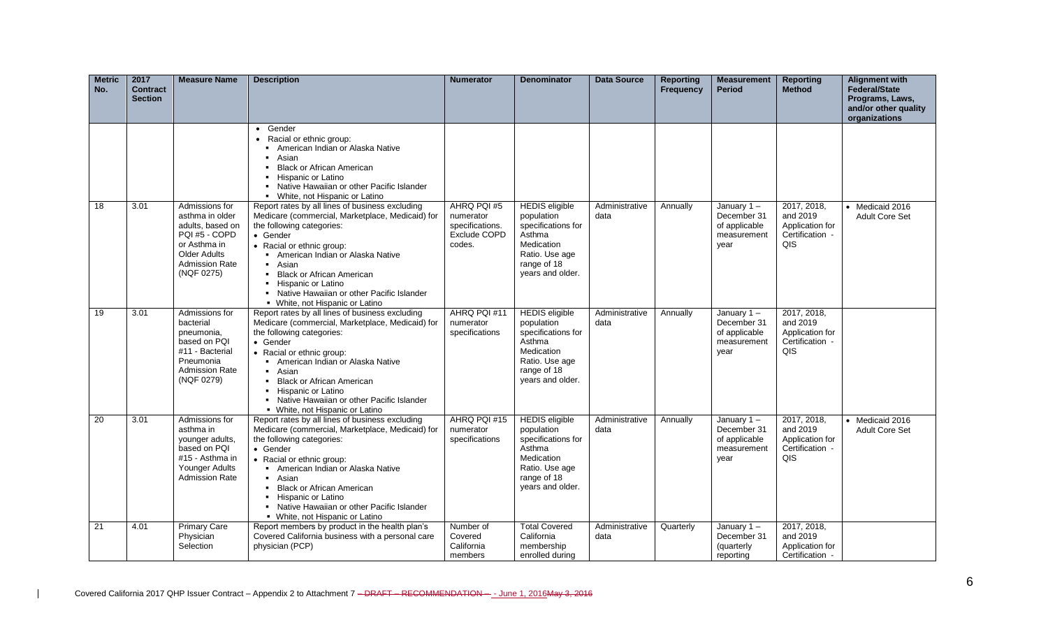| <b>Metric</b><br>No. | 2017<br><b>Contract</b><br><b>Section</b> | <b>Measure Name</b>                                                                                                                                  | <b>Description</b>                                                                                                                                                                                                                                                                                                                                                  | <b>Numerator</b>                                                      | <b>Denominator</b>                                                                                                                     | <b>Data Source</b>     | <b>Reporting</b><br><b>Frequency</b> | <b>Measurement</b><br><b>Period</b>                                  | <b>Reporting</b><br><b>Method</b>                                    | <b>Alignment with</b><br><b>Federal/State</b><br>Programs, Laws,<br>and/or other quality<br>organizations |
|----------------------|-------------------------------------------|------------------------------------------------------------------------------------------------------------------------------------------------------|---------------------------------------------------------------------------------------------------------------------------------------------------------------------------------------------------------------------------------------------------------------------------------------------------------------------------------------------------------------------|-----------------------------------------------------------------------|----------------------------------------------------------------------------------------------------------------------------------------|------------------------|--------------------------------------|----------------------------------------------------------------------|----------------------------------------------------------------------|-----------------------------------------------------------------------------------------------------------|
|                      |                                           |                                                                                                                                                      | • Gender<br>• Racial or ethnic group:<br>American Indian or Alaska Native<br>Asian<br><b>Black or African American</b><br>Hispanic or Latino<br>• Native Hawaiian or other Pacific Islander<br>• White, not Hispanic or Latino                                                                                                                                      |                                                                       |                                                                                                                                        |                        |                                      |                                                                      |                                                                      |                                                                                                           |
| 18                   | 3.01                                      | Admissions for<br>asthma in older<br>adults, based on<br>PQI #5 - COPD<br>or Asthma in<br><b>Older Adults</b><br><b>Admission Rate</b><br>(NQF 0275) | Report rates by all lines of business excluding<br>Medicare (commercial, Marketplace, Medicaid) for<br>the following categories:<br>• Gender<br>• Racial or ethnic group:<br>• American Indian or Alaska Native<br>• Asian<br>• Black or African American<br>- Hispanic or Latino<br>• Native Hawaiian or other Pacific Islander<br>• White, not Hispanic or Latino | AHRQ PQI #5<br>numerator<br>specifications.<br>Exclude COPD<br>codes. | <b>HEDIS</b> eligible<br>population<br>specifications for<br>Asthma<br>Medication<br>Ratio. Use age<br>range of 18<br>years and older. | Administrative<br>data | Annually                             | January 1-<br>December 31<br>of applicable<br>measurement<br>year    | 2017, 2018,<br>and 2019<br>Application for<br>Certification -<br>QIS | • Medicaid 2016<br>Adult Core Set                                                                         |
| 19                   | 3.01                                      | Admissions for<br>bacterial<br>pneumonia,<br>based on PQI<br>#11 - Bacterial<br>Pneumonia<br><b>Admission Rate</b><br>(NQF 0279)                     | Report rates by all lines of business excluding<br>Medicare (commercial, Marketplace, Medicaid) for<br>the following categories:<br>• Gender<br>• Racial or ethnic group:<br>American Indian or Alaska Native<br>• Asian<br>• Black or African American<br>• Hispanic or Latino<br>• Native Hawaiian or other Pacific Islander<br>• White, not Hispanic or Latino   | AHRQ PQI #11<br>numerator<br>specifications                           | <b>HEDIS</b> eligible<br>population<br>specifications for<br>Asthma<br>Medication<br>Ratio. Use age<br>range of 18<br>vears and older. | Administrative<br>data | Annually                             | January $1 -$<br>December 31<br>of applicable<br>measurement<br>year | 2017, 2018,<br>and 2019<br>Application for<br>Certification -<br>QIS |                                                                                                           |
| 20                   | 3.01                                      | Admissions for<br>asthma in<br>younger adults,<br>based on POI<br>#15 - Asthma in<br>Younger Adults<br>Admission Rate                                | Report rates by all lines of business excluding<br>Medicare (commercial, Marketplace, Medicaid) for<br>the following categories:<br>• Gender<br>• Racial or ethnic group:<br>• American Indian or Alaska Native<br>■ Asian<br>• Black or African American<br>• Hispanic or Latino<br>• Native Hawaiian or other Pacific Islander<br>• White, not Hispanic or Latino | AHRQ PQI #15<br>numerator<br>specifications                           | <b>HEDIS</b> eligible<br>population<br>specifications for<br>Asthma<br>Medication<br>Ratio. Use age<br>range of 18<br>vears and older. | Administrative<br>data | Annually                             | January 1-<br>December 31<br>of applicable<br>measurement<br>year    | 2017, 2018,<br>and 2019<br>Application for<br>Certification -<br>QIS | • Medicaid 2016<br><b>Adult Core Set</b>                                                                  |
| 21                   | 4.01                                      | <b>Primary Care</b><br>Physician<br>Selection                                                                                                        | Report members by product in the health plan's<br>Covered California business with a personal care<br>physician (PCP)                                                                                                                                                                                                                                               | Number of<br>Covered<br>California<br>members                         | <b>Total Covered</b><br>California<br>membership<br>enrolled during                                                                    | Administrative<br>data | Quarterly                            | January $1 -$<br>December 31<br>(quarterly<br>reporting              | 2017, 2018,<br>and 2019<br>Application for<br>Certification -        |                                                                                                           |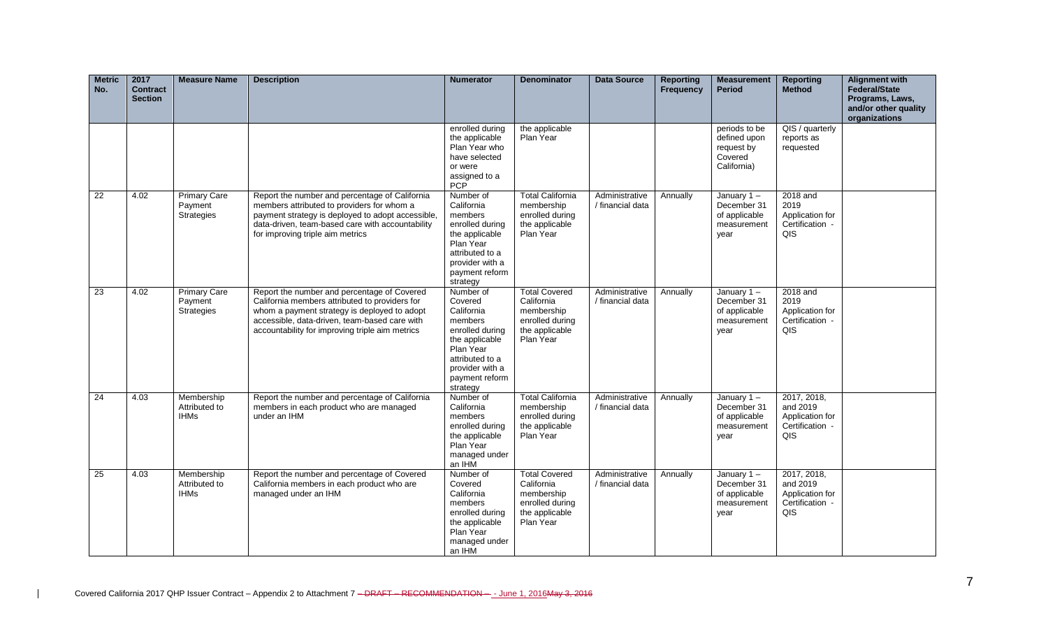| <b>Metric</b><br>No. | 2017<br><b>Contract</b><br><b>Section</b> | <b>Measure Name</b>                          | <b>Description</b>                                                                                                                                                                                                                                | <b>Numerator</b>                                                                                                                                                    | <b>Denominator</b>                                                                                 | <b>Data Source</b>                 | <b>Reporting</b><br><b>Frequency</b> | <b>Measurement</b><br><b>Period</b>                                   | <b>Reporting</b><br><b>Method</b>                                    | <b>Alignment with</b><br>Federal/State<br>Programs, Laws,<br>and/or other quality<br>organizations |
|----------------------|-------------------------------------------|----------------------------------------------|---------------------------------------------------------------------------------------------------------------------------------------------------------------------------------------------------------------------------------------------------|---------------------------------------------------------------------------------------------------------------------------------------------------------------------|----------------------------------------------------------------------------------------------------|------------------------------------|--------------------------------------|-----------------------------------------------------------------------|----------------------------------------------------------------------|----------------------------------------------------------------------------------------------------|
|                      |                                           |                                              |                                                                                                                                                                                                                                                   | enrolled during<br>the applicable<br>Plan Year who<br>have selected<br>or were<br>assigned to a<br>PCP                                                              | the applicable<br>Plan Year                                                                        |                                    |                                      | periods to be<br>defined upon<br>request by<br>Covered<br>California) | QIS / quarterly<br>reports as<br>requested                           |                                                                                                    |
| $\overline{22}$      | 4.02                                      | <b>Primary Care</b><br>Payment<br>Strategies | Report the number and percentage of California<br>members attributed to providers for whom a<br>payment strategy is deployed to adopt accessible,<br>data-driven, team-based care with accountability<br>for improving triple aim metrics         | Number of<br>California<br>members<br>enrolled during<br>the applicable<br>Plan Year<br>attributed to a<br>provider with a<br>payment reform<br>strategy            | <b>Total California</b><br>membership<br>enrolled during<br>the applicable<br>Plan Year            | Administrative<br>/ financial data | Annually                             | January $1 -$<br>December 31<br>of applicable<br>measurement<br>year  | 2018 and<br>2019<br>Application for<br>Certification -<br>QIS        |                                                                                                    |
| 23                   | 4.02                                      | <b>Primary Care</b><br>Payment<br>Strategies | Report the number and percentage of Covered<br>California members attributed to providers for<br>whom a payment strategy is deployed to adopt<br>accessible, data-driven, team-based care with<br>accountability for improving triple aim metrics | Number of<br>Covered<br>California<br>members<br>enrolled during<br>the applicable<br>Plan Year<br>attributed to a<br>provider with a<br>payment reform<br>strategy | <b>Total Covered</b><br>California<br>membership<br>enrolled during<br>the applicable<br>Plan Year | Administrative<br>/ financial data | Annually                             | January $1 -$<br>December 31<br>of applicable<br>measurement<br>year  | 2018 and<br>2019<br>Application for<br>Certification -<br>QIS        |                                                                                                    |
| 24                   | 4.03                                      | Membership<br>Attributed to<br><b>IHMs</b>   | Report the number and percentage of California<br>members in each product who are managed<br>under an IHM                                                                                                                                         | Number of<br>California<br>members<br>enrolled during<br>the applicable<br>Plan Year<br>managed under<br>an IHM                                                     | <b>Total California</b><br>membership<br>enrolled during<br>the applicable<br>Plan Year            | Administrative<br>/ financial data | Annually                             | January 1-<br>December 31<br>of applicable<br>measurement<br>year     | 2017, 2018,<br>and 2019<br>Application for<br>Certification -<br>QIS |                                                                                                    |
| 25                   | 4.03                                      | Membership<br>Attributed to<br><b>IHMs</b>   | Report the number and percentage of Covered<br>California members in each product who are<br>managed under an IHM                                                                                                                                 | Number of<br>Covered<br>California<br>members<br>enrolled during<br>the applicable<br>Plan Year<br>managed under<br>an IHM                                          | <b>Total Covered</b><br>California<br>membership<br>enrolled during<br>the applicable<br>Plan Year | Administrative<br>/ financial data | Annually                             | January 1-<br>December 31<br>of applicable<br>measurement<br>year     | 2017, 2018,<br>and 2019<br>Application for<br>Certification -<br>QIS |                                                                                                    |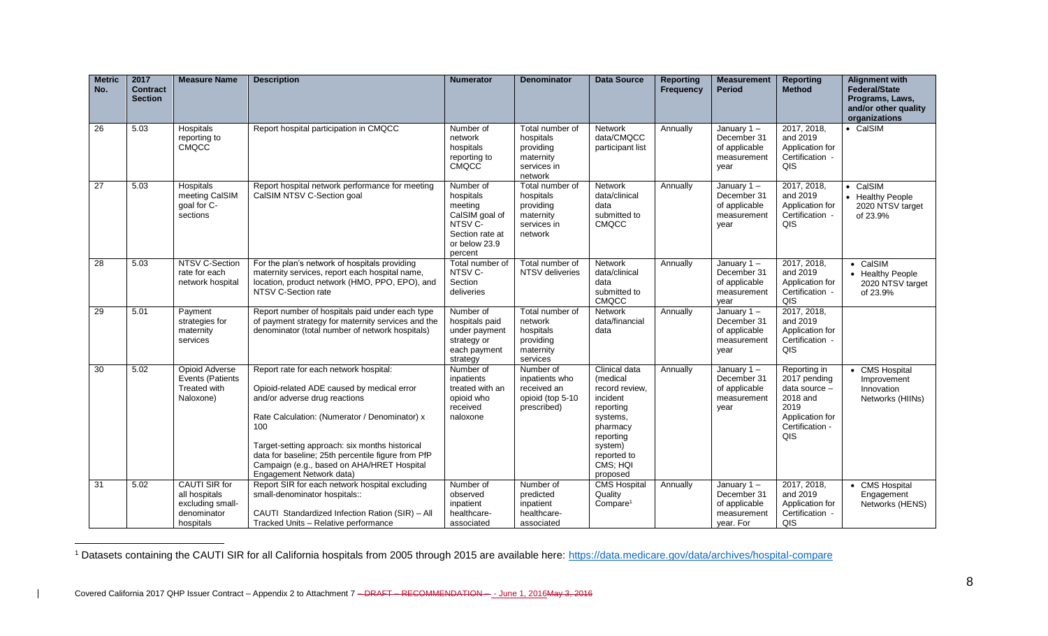| <b>Metric</b><br>No. | 2017<br><b>Contract</b><br><b>Section</b> | <b>Measure Name</b>                                                                   | <b>Description</b>                                                                                                                                                                                                                                                                                                                                              | <b>Numerator</b>                                                                                                        | <b>Denominator</b>                                                               | <b>Data Source</b>                                                                                                                                          | <b>Reporting</b><br><b>Frequency</b> | <b>Measurement</b><br><b>Period</b>                                    | <b>Reporting</b><br><b>Method</b>                                                                              | <b>Alignment with</b><br><b>Federal/State</b><br>Programs, Laws,<br>and/or other quality<br>organizations |
|----------------------|-------------------------------------------|---------------------------------------------------------------------------------------|-----------------------------------------------------------------------------------------------------------------------------------------------------------------------------------------------------------------------------------------------------------------------------------------------------------------------------------------------------------------|-------------------------------------------------------------------------------------------------------------------------|----------------------------------------------------------------------------------|-------------------------------------------------------------------------------------------------------------------------------------------------------------|--------------------------------------|------------------------------------------------------------------------|----------------------------------------------------------------------------------------------------------------|-----------------------------------------------------------------------------------------------------------|
| 26                   | 5.03                                      | Hospitals<br>reporting to<br><b>CMQCC</b>                                             | Report hospital participation in CMQCC                                                                                                                                                                                                                                                                                                                          | Number of<br>network<br>hospitals<br>reporting to<br><b>CMQCC</b>                                                       | Total number of<br>hospitals<br>providing<br>maternity<br>services in<br>network | <b>Network</b><br>data/CMQCC<br>participant list                                                                                                            | Annually                             | January $1 -$<br>December 31<br>of applicable<br>measurement<br>year   | 2017, 2018,<br>and 2019<br>Application for<br>Certification -<br>QIS                                           | • CalSIM                                                                                                  |
| 27                   | 5.03                                      | Hospitals<br>meeting CalSIM<br>goal for C-<br>sections                                | Report hospital network performance for meeting<br>CalSIM NTSV C-Section goal                                                                                                                                                                                                                                                                                   | Number of<br>hospitals<br>meeting<br>CalSIM goal of<br>NTSV <sub>C</sub><br>Section rate at<br>or below 23.9<br>percent | Total number of<br>hospitals<br>providing<br>maternity<br>services in<br>network | <b>Network</b><br>data/clinical<br>data<br>submitted to<br><b>CMQCC</b>                                                                                     | Annually                             | January 1-<br>December 31<br>of applicable<br>measurement<br>year      | 2017, 2018,<br>and 2019<br>Application for<br>Certification -<br>QIS                                           | • CalSIM<br>• Healthy People<br>2020 NTSV target<br>of 23.9%                                              |
| 28                   | 5.03                                      | NTSV C-Section<br>rate for each<br>network hospital                                   | For the plan's network of hospitals providing<br>maternity services, report each hospital name,<br>location, product network (HMO, PPO, EPO), and<br>NTSV C-Section rate                                                                                                                                                                                        | Total number of<br>NTSV C-<br>Section<br>deliveries                                                                     | Total number of<br>NTSV deliveries                                               | <b>Network</b><br>data/clinical<br>data<br>submitted to<br><b>CMQCC</b>                                                                                     | Annually                             | January 1-<br>December 31<br>of applicable<br>measurement<br>year      | 2017, 2018,<br>and 2019<br>Application for<br>Certification -<br>QIS                                           | • CalSIM<br>• Healthy People<br>2020 NTSV target<br>of 23.9%                                              |
| 29                   | 5.01                                      | Payment<br>strategies for<br>maternity<br>services                                    | Report number of hospitals paid under each type<br>of payment strategy for maternity services and the<br>denominator (total number of network hospitals)                                                                                                                                                                                                        | Number of<br>hospitals paid<br>under payment<br>strategy or<br>each payment<br>strategy                                 | Total number of<br>network<br>hospitals<br>providing<br>maternity<br>services    | <b>Network</b><br>data/financial<br>data                                                                                                                    | Annually                             | January $1 -$<br>December 31<br>of applicable<br>measurement<br>year   | 2017, 2018,<br>and 2019<br>Application for<br>Certification -<br>QIS                                           |                                                                                                           |
| 30                   | 5.02                                      | <b>Opioid Adverse</b><br>Events (Patients<br>Treated with<br>Naloxone)                | Report rate for each network hospital:<br>Opioid-related ADE caused by medical error<br>and/or adverse drug reactions<br>Rate Calculation: (Numerator / Denominator) x<br>100<br>Target-setting approach: six months historical<br>data for baseline; 25th percentile figure from PfP<br>Campaign (e.g., based on AHA/HRET Hospital<br>Engagement Network data) | Number of<br>inpatients<br>treated with an<br>opioid who<br>received<br>naloxone                                        | Number of<br>inpatients who<br>received an<br>opioid (top 5-10<br>prescribed)    | Clinical data<br>(medical<br>record review.<br>incident<br>reporting<br>systems,<br>pharmacy<br>reporting<br>system)<br>reported to<br>CMS; HQI<br>proposed | Annually                             | January 1-<br>December 31<br>of applicable<br>measurement<br>year      | Reporting in<br>2017 pending<br>data source -<br>2018 and<br>2019<br>Application for<br>Certification -<br>QIS | • CMS Hospital<br>Improvement<br>Innovation<br>Networks (HIINs)                                           |
| 31                   | 5.02                                      | <b>CAUTI SIR for</b><br>all hospitals<br>excluding small-<br>denominator<br>hospitals | Report SIR for each network hospital excluding<br>small-denominator hospitals::<br>CAUTI Standardized Infection Ration (SIR) - All<br>Tracked Units - Relative performance                                                                                                                                                                                      | Number of<br>observed<br>inpatient<br>healthcare-<br>associated                                                         | Number of<br>predicted<br>inpatient<br>healthcare-<br>associated                 | <b>CMS Hospital</b><br>Quality<br>Compare <sup>1</sup>                                                                                                      | Annually                             | January 1-<br>December 31<br>of applicable<br>measurement<br>vear. For | 2017, 2018,<br>and 2019<br>Application for<br>Certification -<br>QIS                                           | • CMS Hospital<br>Engagement<br>Networks (HENS)                                                           |

<sup>&</sup>lt;sup>1</sup> Datasets containing the CAUTI SIR for all California hospitals from 2005 through 2015 are available here:<https://data.medicare.gov/data/archives/hospital-compare>

 $\overline{a}$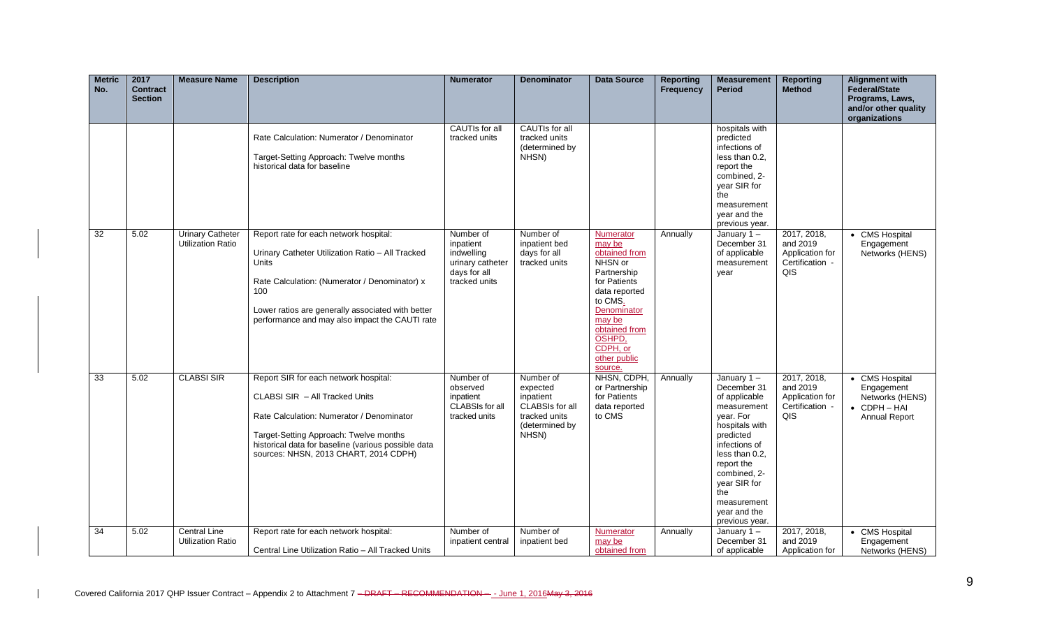| <b>Metric</b><br>No. | 2017<br><b>Contract</b><br><b>Section</b> | <b>Measure Name</b>                                 | <b>Description</b>                                                                                                                                                                                                                                                 | <b>Numerator</b>                                                                          | <b>Denominator</b>                                                                                | <b>Data Source</b>                                                                                                                                                                                    | <b>Reporting</b><br><b>Frequency</b> | <b>Measurement</b><br><b>Period</b>                                                                                                                                                                                                               | <b>Reporting</b><br><b>Method</b>                                    | <b>Alignment with</b><br>Federal/State<br>Programs, Laws,<br>and/or other quality<br>organizations |
|----------------------|-------------------------------------------|-----------------------------------------------------|--------------------------------------------------------------------------------------------------------------------------------------------------------------------------------------------------------------------------------------------------------------------|-------------------------------------------------------------------------------------------|---------------------------------------------------------------------------------------------------|-------------------------------------------------------------------------------------------------------------------------------------------------------------------------------------------------------|--------------------------------------|---------------------------------------------------------------------------------------------------------------------------------------------------------------------------------------------------------------------------------------------------|----------------------------------------------------------------------|----------------------------------------------------------------------------------------------------|
|                      |                                           |                                                     | Rate Calculation: Numerator / Denominator<br>Target-Setting Approach: Twelve months<br>historical data for baseline                                                                                                                                                | <b>CAUTIs for all</b><br>tracked units                                                    | <b>CAUTIs for all</b><br>tracked units<br>(determined by<br>NHSN)                                 |                                                                                                                                                                                                       |                                      | hospitals with<br>predicted<br>infections of<br>less than 0.2,<br>report the<br>combined, 2-<br>year SIR for<br>the<br>measurement<br>year and the<br>previous year.                                                                              |                                                                      |                                                                                                    |
| 32                   | 5.02                                      | <b>Urinary Catheter</b><br><b>Utilization Ratio</b> | Report rate for each network hospital:<br>Urinary Catheter Utilization Ratio - All Tracked<br>Units<br>Rate Calculation: (Numerator / Denominator) x<br>100<br>Lower ratios are generally associated with better<br>performance and may also impact the CAUTI rate | Number of<br>inpatient<br>indwelling<br>urinary catheter<br>days for all<br>tracked units | Number of<br>inpatient bed<br>days for all<br>tracked units                                       | Numerator<br>may be<br>obtained from<br>NHSN or<br>Partnership<br>for Patients<br>data reported<br>to CMS.<br>Denominator<br>may be<br>obtained from<br>OSHPD,<br>CDPH, or<br>other public<br>source. | Annually                             | January $1 -$<br>December 31<br>of applicable<br>measurement<br>year                                                                                                                                                                              | 2017, 2018,<br>and 2019<br>Application for<br>Certification -<br>QIS | <b>CMS Hospital</b><br>Engagement<br>Networks (HENS)                                               |
| $\overline{33}$      | 5.02                                      | <b>CLABSI SIR</b>                                   | Report SIR for each network hospital:<br>CLABSI SIR - All Tracked Units<br>Rate Calculation: Numerator / Denominator<br>Target-Setting Approach: Twelve months<br>historical data for baseline (various possible data<br>sources: NHSN, 2013 CHART, 2014 CDPH)     | Number of<br>observed<br>inpatient<br><b>CLABSIs for all</b><br>tracked units             | Number of<br>expected<br>inpatient<br>CLABSIs for all<br>tracked units<br>(determined by<br>NHSN) | NHSN, CDPH,<br>or Partnership<br>for Patients<br>data reported<br>to CMS                                                                                                                              | Annually                             | January $1 -$<br>December 31<br>of applicable<br>measurement<br>year. For<br>hospitals with<br>predicted<br>infections of<br>less than 0.2,<br>report the<br>combined, 2-<br>year SIR for<br>the<br>measurement<br>year and the<br>previous year. | 2017, 2018,<br>and 2019<br>Application for<br>Certification -<br>QIS | • CMS Hospital<br>Engagement<br>Networks (HENS)<br>$\bullet$ CDPH $-$ HAI<br>Annual Report         |
| 34                   | 5.02                                      | <b>Central Line</b><br><b>Utilization Ratio</b>     | Report rate for each network hospital:<br>Central Line Utilization Ratio - All Tracked Units                                                                                                                                                                       | Number of<br>inpatient central                                                            | Number of<br>inpatient bed                                                                        | Numerator<br>may be<br>obtained from                                                                                                                                                                  | Annually                             | January 1-<br>December 31<br>of applicable                                                                                                                                                                                                        | 2017, 2018,<br>and 2019<br>Application for                           | • CMS Hospital<br>Engagement<br>Networks (HENS)                                                    |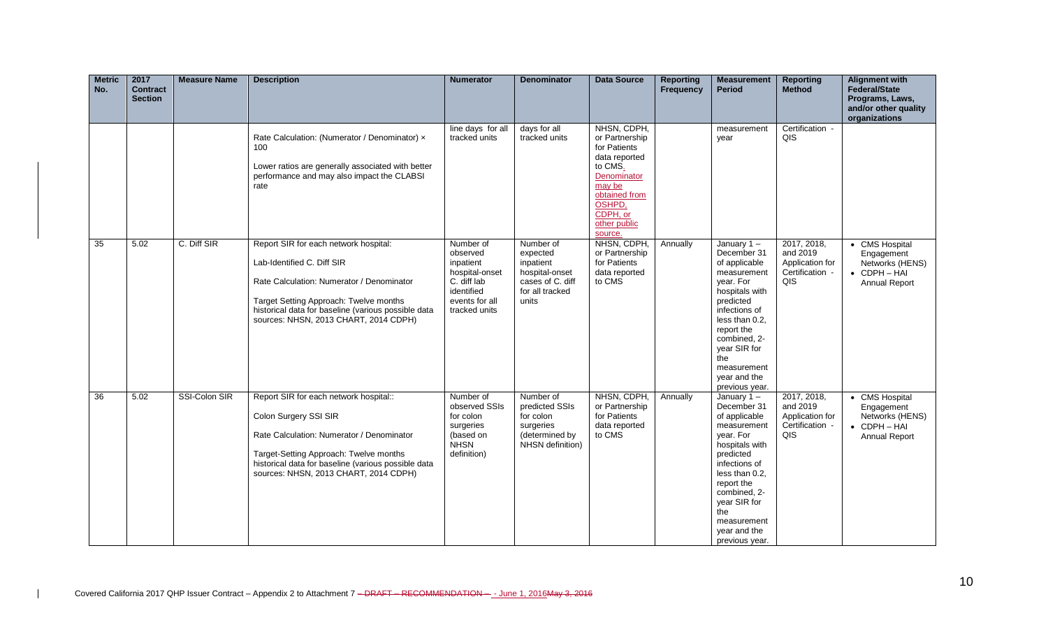| <b>Metric</b><br>No. | 2017<br><b>Contract</b><br><b>Section</b> | <b>Measure Name</b> | <b>Description</b>                                                                                                                                                                                                                                         | <b>Numerator</b>                                                                                                     | <b>Denominator</b>                                                                                   | <b>Data Source</b>                                                                                                                                                   | <b>Reporting</b><br><b>Frequency</b> | <b>Measurement</b><br><b>Period</b>                                                                                                                                                                                                               | <b>Reporting</b><br><b>Method</b>                                    | <b>Alignment with</b><br><b>Federal/State</b><br>Programs, Laws,<br>and/or other quality<br>organizations |
|----------------------|-------------------------------------------|---------------------|------------------------------------------------------------------------------------------------------------------------------------------------------------------------------------------------------------------------------------------------------------|----------------------------------------------------------------------------------------------------------------------|------------------------------------------------------------------------------------------------------|----------------------------------------------------------------------------------------------------------------------------------------------------------------------|--------------------------------------|---------------------------------------------------------------------------------------------------------------------------------------------------------------------------------------------------------------------------------------------------|----------------------------------------------------------------------|-----------------------------------------------------------------------------------------------------------|
|                      |                                           |                     | Rate Calculation: (Numerator / Denominator) x<br>100<br>Lower ratios are generally associated with better<br>performance and may also impact the CLABSI<br>rate                                                                                            | line days for all<br>tracked units                                                                                   | days for all<br>tracked units                                                                        | NHSN, CDPH,<br>or Partnership<br>for Patients<br>data reported<br>to CMS.<br>Denominator<br>may be<br>obtained from<br>OSHPD,<br>CDPH, or<br>other public<br>source. |                                      | measurement<br>year                                                                                                                                                                                                                               | Certification -<br>QIS                                               |                                                                                                           |
| 35                   | 5.02                                      | C. Diff SIR         | Report SIR for each network hospital:<br>Lab-Identified C. Diff SIR<br>Rate Calculation: Numerator / Denominator<br>Target Setting Approach: Twelve months<br>historical data for baseline (various possible data<br>sources: NHSN, 2013 CHART, 2014 CDPH) | Number of<br>observed<br>inpatient<br>hospital-onset<br>C. diff lab<br>identified<br>events for all<br>tracked units | Number of<br>expected<br>inpatient<br>hospital-onset<br>cases of C. diff<br>for all tracked<br>units | NHSN, CDPH,<br>or Partnership<br>for Patients<br>data reported<br>to CMS                                                                                             | Annually                             | January $1 -$<br>December 31<br>of applicable<br>measurement<br>vear. For<br>hospitals with<br>predicted<br>infections of<br>less than 0.2,<br>report the<br>combined. 2-<br>year SIR for<br>the<br>measurement<br>year and the<br>previous year. | 2017, 2018,<br>and 2019<br>Application for<br>Certification -<br>QIS | • CMS Hospital<br>Engagement<br>Networks (HENS)<br>$\bullet$ CDPH $-$ HAI<br>Annual Report                |
| 36                   | 5.02                                      | SSI-Colon SIR       | Report SIR for each network hospital::<br>Colon Surgery SSI SIR<br>Rate Calculation: Numerator / Denominator<br>Target-Setting Approach: Twelve months<br>historical data for baseline (various possible data<br>sources: NHSN, 2013 CHART, 2014 CDPH)     | Number of<br>observed SSIs<br>for colon<br>surgeries<br>(based on<br><b>NHSN</b><br>definition)                      | Number of<br>predicted SSIs<br>for colon<br>surgeries<br>(determined by<br>NHSN definition)          | NHSN, CDPH,<br>or Partnership<br>for Patients<br>data reported<br>to CMS                                                                                             | Annually                             | January $1 -$<br>December 31<br>of applicable<br>measurement<br>vear. For<br>hospitals with<br>predicted<br>infections of<br>less than 0.2,<br>report the<br>combined, 2-<br>year SIR for<br>the<br>measurement<br>year and the<br>previous year. | 2017, 2018,<br>and 2019<br>Application for<br>Certification -<br>QIS | • CMS Hospital<br>Engagement<br>Networks (HENS)<br>• CDPH-HAI<br>Annual Report                            |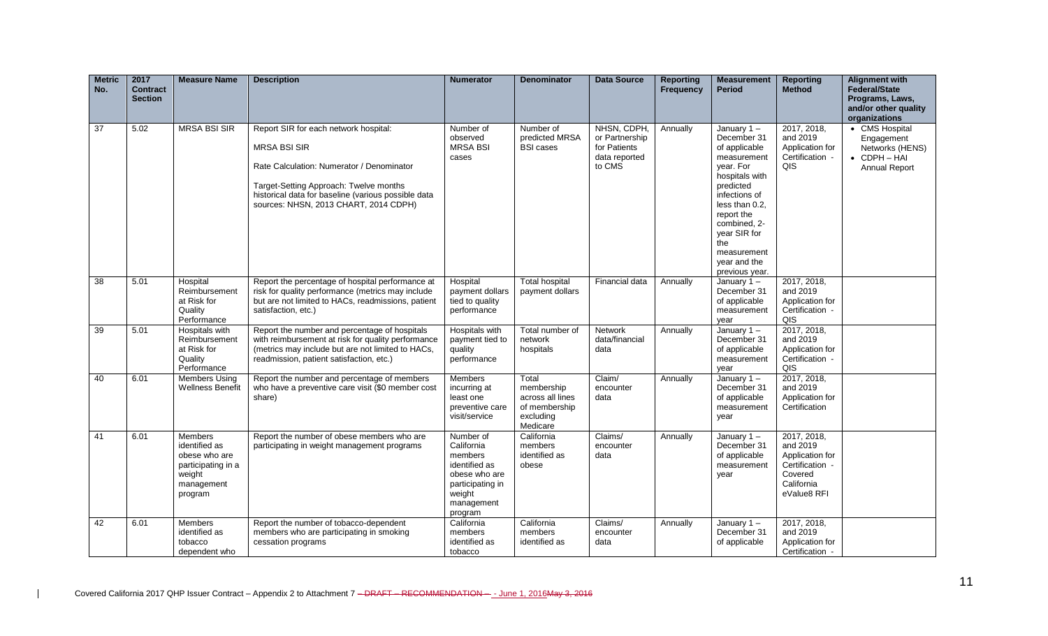| <b>Metric</b><br>No. | 2017<br><b>Contract</b><br><b>Section</b> | <b>Measure Name</b>                                                                                | <b>Description</b>                                                                                                                                                                                                                                  | <b>Numerator</b>                                                                                                            | <b>Denominator</b>                                                                | <b>Data Source</b>                                                       | <b>Reporting</b><br><b>Frequency</b> | <b>Measurement</b><br><b>Period</b>                                                                                                                                                                                                               | <b>Reporting</b><br><b>Method</b>                                                                     | <b>Alignment with</b><br><b>Federal/State</b><br>Programs, Laws,<br>and/or other quality<br>organizations |
|----------------------|-------------------------------------------|----------------------------------------------------------------------------------------------------|-----------------------------------------------------------------------------------------------------------------------------------------------------------------------------------------------------------------------------------------------------|-----------------------------------------------------------------------------------------------------------------------------|-----------------------------------------------------------------------------------|--------------------------------------------------------------------------|--------------------------------------|---------------------------------------------------------------------------------------------------------------------------------------------------------------------------------------------------------------------------------------------------|-------------------------------------------------------------------------------------------------------|-----------------------------------------------------------------------------------------------------------|
| 37                   | 5.02                                      | <b>MRSA BSI SIR</b>                                                                                | Report SIR for each network hospital:<br><b>MRSA BSI SIR</b><br>Rate Calculation: Numerator / Denominator<br>Target-Setting Approach: Twelve months<br>historical data for baseline (various possible data<br>sources: NHSN, 2013 CHART, 2014 CDPH) | Number of<br>observed<br><b>MRSA BSI</b><br>cases                                                                           | Number of<br>predicted MRSA<br><b>BSI cases</b>                                   | NHSN, CDPH,<br>or Partnership<br>for Patients<br>data reported<br>to CMS | Annually                             | January $1 -$<br>December 31<br>of applicable<br>measurement<br>vear. For<br>hospitals with<br>predicted<br>infections of<br>less than 0.2,<br>report the<br>combined, 2-<br>year SIR for<br>the<br>measurement<br>year and the<br>previous year. | 2017, 2018,<br>and 2019<br>Application for<br>Certification -<br>QIS                                  | • CMS Hospital<br>Engagement<br>Networks (HENS)<br>$\bullet$ CDPH $-$ HAI<br>Annual Report                |
| 38                   | 5.01                                      | Hospital<br>Reimbursement<br>at Risk for<br>Quality<br>Performance                                 | Report the percentage of hospital performance at<br>risk for quality performance (metrics may include<br>but are not limited to HACs, readmissions, patient<br>satisfaction, etc.)                                                                  | Hospital<br>payment dollars<br>tied to quality<br>performance                                                               | <b>Total hospital</b><br>payment dollars                                          | Financial data                                                           | Annually                             | January $1 -$<br>December 31<br>of applicable<br>measurement<br>vear                                                                                                                                                                              | 2017, 2018,<br>and 2019<br>Application for<br>Certification -<br>QIS                                  |                                                                                                           |
| 39                   | 5.01                                      | <b>Hospitals with</b><br>Reimbursement<br>at Risk for<br>Quality<br>Performance                    | Report the number and percentage of hospitals<br>with reimbursement at risk for quality performance<br>(metrics may include but are not limited to HACs,<br>readmission, patient satisfaction, etc.)                                                | Hospitals with<br>payment tied to<br>quality<br>performance                                                                 | Total number of<br>network<br>hospitals                                           | <b>Network</b><br>data/financial<br>data                                 | Annually                             | January 1-<br>December 31<br>of applicable<br>measurement<br>year                                                                                                                                                                                 | 2017, 2018,<br>and 2019<br>Application for<br>Certification -<br>QIS                                  |                                                                                                           |
| 40                   | 6.01                                      | <b>Members Using</b><br><b>Wellness Benefit</b>                                                    | Report the number and percentage of members<br>who have a preventive care visit (\$0 member cost<br>share)                                                                                                                                          | Members<br>incurring at<br>least one<br>preventive care<br>visit/service                                                    | Total<br>membership<br>across all lines<br>of membership<br>excluding<br>Medicare | Claim/<br>encounter<br>data                                              | Annually                             | January $1 -$<br>December 31<br>of applicable<br>measurement<br>year                                                                                                                                                                              | 2017, 2018,<br>and 2019<br>Application for<br>Certification                                           |                                                                                                           |
| 41                   | 6.01                                      | Members<br>identified as<br>obese who are<br>participating in a<br>weight<br>management<br>program | Report the number of obese members who are<br>participating in weight management programs                                                                                                                                                           | Number of<br>California<br>members<br>identified as<br>obese who are<br>participating in<br>weight<br>management<br>program | California<br>members<br>identified as<br>obese                                   | Claims/<br>encounter<br>data                                             | Annually                             | January 1-<br>December 31<br>of applicable<br>measurement<br>year                                                                                                                                                                                 | 2017, 2018,<br>and 2019<br>Application for<br>Certification -<br>Covered<br>California<br>eValue8 RFI |                                                                                                           |
| 42                   | 6.01                                      | <b>Members</b><br>identified as<br>tobacco<br>dependent who                                        | Report the number of tobacco-dependent<br>members who are participating in smoking<br>cessation programs                                                                                                                                            | California<br>members<br>identified as<br>tobacco                                                                           | California<br>members<br>identified as                                            | Claims/<br>encounter<br>data                                             | Annually                             | January $1 -$<br>December 31<br>of applicable                                                                                                                                                                                                     | 2017, 2018,<br>and 2019<br>Application for<br>Certification -                                         |                                                                                                           |